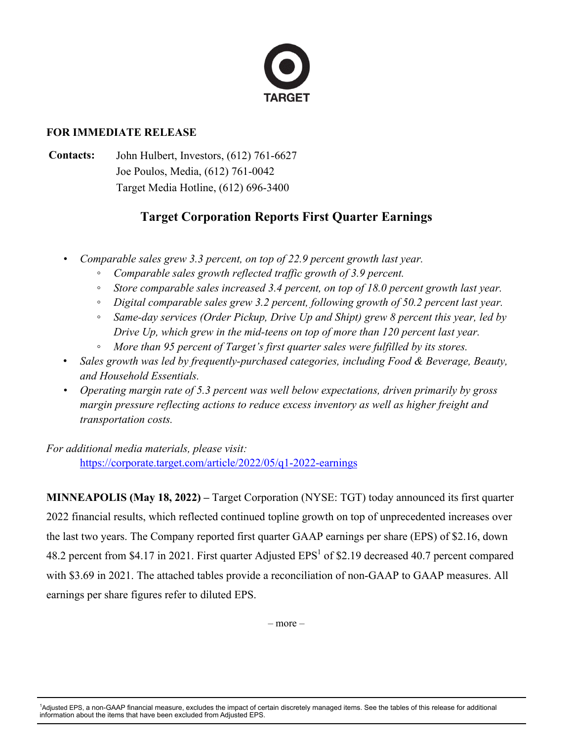

## **FOR IMMEDIATE RELEASE**

**Contacts:** John Hulbert, Investors, (612) 761-6627 Joe Poulos, Media, (612) 761-0042 Target Media Hotline, (612) 696-3400

# **Target Corporation Reports First Quarter Earnings**

- *• Comparable sales grew 3.3 percent, on top of 22.9 percent growth last year.*
	- *◦ Comparable sales growth reflected traffic growth of 3.9 percent.*
	- *◦ Store comparable sales increased 3.4 percent, on top of 18.0 percent growth last year.*
	- *◦ Digital comparable sales grew 3.2 percent, following growth of 50.2 percent last year.*
	- *◦ Same-day services (Order Pickup, Drive Up and Shipt) grew 8 percent this year, led by Drive Up, which grew in the mid-teens on top of more than 120 percent last year.*
	- *◦ More than 95 percent of Target's first quarter sales were fulfilled by its stores.*
- *Sales growth was led by frequently-purchased categories, including Food & Beverage, Beauty, and Household Essentials.*
- *• Operating margin rate of 5.3 percent was well below expectations, driven primarily by gross margin pressure reflecting actions to reduce excess inventory as well as higher freight and transportation costs.*

*For additional media materials, please visit:*

<https://corporate.target.com/article/2022/05/q1-2022-earnings>

**MINNEAPOLIS (May 18, 2022) –** Target Corporation (NYSE: TGT) today announced its first quarter 2022 financial results, which reflected continued topline growth on top of unprecedented increases over the last two years. The Company reported first quarter GAAP earnings per share (EPS) of \$2.16, down 48.2 percent from \$4.17 in 2021. First quarter Adjusted  $EPS<sup>1</sup>$  of \$2.19 decreased 40.7 percent compared with \$3.69 in 2021. The attached tables provide a reconciliation of non-GAAP to GAAP measures. All earnings per share figures refer to diluted EPS.

– more –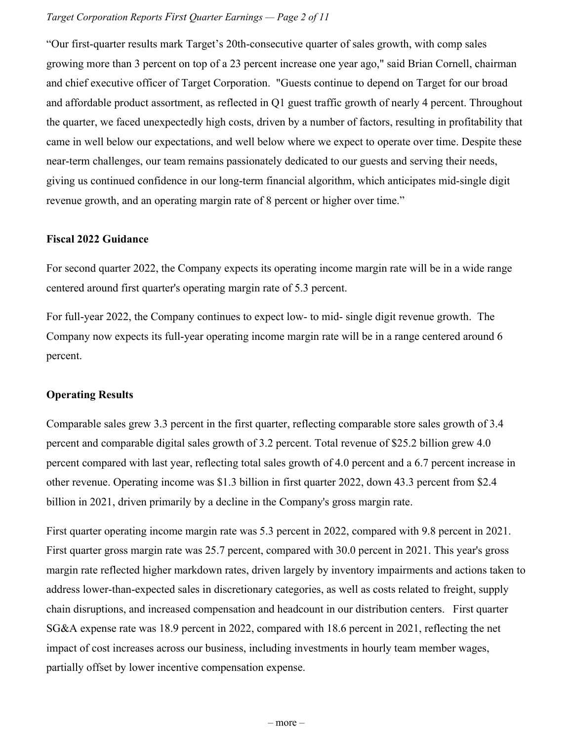#### *Target Corporation Reports First Quarter Earnings — Page 2 of 11*

"Our first-quarter results mark Target's 20th-consecutive quarter of sales growth, with comp sales growing more than 3 percent on top of a 23 percent increase one year ago," said Brian Cornell, chairman and chief executive officer of Target Corporation. "Guests continue to depend on Target for our broad and affordable product assortment, as reflected in Q1 guest traffic growth of nearly 4 percent. Throughout the quarter, we faced unexpectedly high costs, driven by a number of factors, resulting in profitability that came in well below our expectations, and well below where we expect to operate over time. Despite these near-term challenges, our team remains passionately dedicated to our guests and serving their needs, giving us continued confidence in our long-term financial algorithm, which anticipates mid-single digit revenue growth, and an operating margin rate of 8 percent or higher over time."

### **Fiscal 2022 Guidance**

For second quarter 2022, the Company expects its operating income margin rate will be in a wide range centered around first quarter's operating margin rate of 5.3 percent.

For full-year 2022, the Company continues to expect low- to mid- single digit revenue growth. The Company now expects its full-year operating income margin rate will be in a range centered around 6 percent.

### **Operating Results**

Comparable sales grew 3.3 percent in the first quarter, reflecting comparable store sales growth of 3.4 percent and comparable digital sales growth of 3.2 percent. Total revenue of \$25.2 billion grew 4.0 percent compared with last year, reflecting total sales growth of 4.0 percent and a 6.7 percent increase in other revenue. Operating income was \$1.3 billion in first quarter 2022, down 43.3 percent from \$2.4 billion in 2021, driven primarily by a decline in the Company's gross margin rate.

First quarter operating income margin rate was 5.3 percent in 2022, compared with 9.8 percent in 2021. First quarter gross margin rate was 25.7 percent, compared with 30.0 percent in 2021. This year's gross margin rate reflected higher markdown rates, driven largely by inventory impairments and actions taken to address lower-than-expected sales in discretionary categories, as well as costs related to freight, supply chain disruptions, and increased compensation and headcount in our distribution centers. First quarter SG&A expense rate was 18.9 percent in 2022, compared with 18.6 percent in 2021, reflecting the net impact of cost increases across our business, including investments in hourly team member wages, partially offset by lower incentive compensation expense.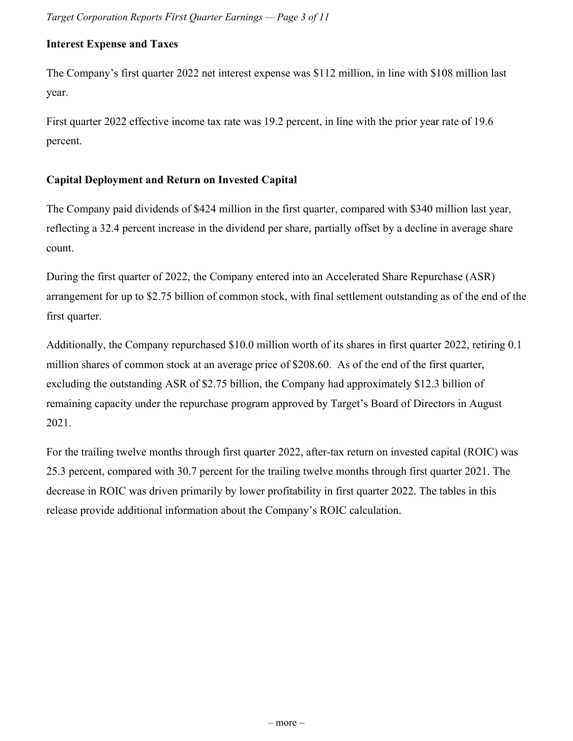## **Interest Expense and Taxes**

The Company's first quarter 2022 net interest expense was \$112 million, in line with \$108 million last year.

First quarter 2022 effective income tax rate was 19.2 percent, in line with the prior year rate of 19.6 percent.

## **Capital Deployment and Return on Invested Capital**

The Company paid dividends of \$424 million in the first quarter, compared with \$340 million last year, reflecting a 32.4 percent increase in the dividend per share, partially offset by a decline in average share count.

During the first quarter of 2022, the Company entered into an Accelerated Share Repurchase (ASR) arrangement for up to \$2.75 billion of common stock, with final settlement outstanding as of the end of the first quarter.

Additionally, the Company repurchased \$10.0 million worth of its shares in first quarter 2022, retiring 0.1 million shares of common stock at an average price of \$208.60. As of the end of the first quarter, excluding the outstanding ASR of \$2.75 billion, the Company had approximately \$12.3 billion of remaining capacity under the repurchase program approved by Target's Board of Directors in August 2021.

For the trailing twelve months through first quarter 2022, after-tax return on invested capital (ROIC) was 25.3 percent, compared with 30.7 percent for the trailing twelve months through first quarter 2021. The decrease in ROIC was driven primarily by lower profitability in first quarter 2022. The tables in this release provide additional information about the Company's ROIC calculation.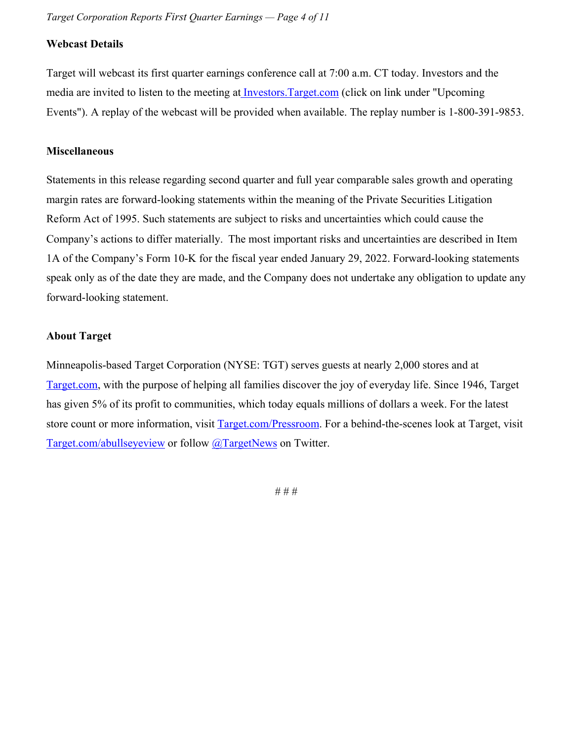## **Webcast Details**

Target will webcast its first quarter earnings conference call at 7:00 a.m. CT today. Investors and the media are invited to listen to the meeting a[t Investors.Target.com](https://investors.target.com/) (click on link under "Upcoming Events"). A replay of the webcast will be provided when available. The replay number is 1-800-391-9853.

### **Miscellaneous**

Statements in this release regarding second quarter and full year comparable sales growth and operating margin rates are forward-looking statements within the meaning of the Private Securities Litigation Reform Act of 1995. Such statements are subject to risks and uncertainties which could cause the Company's actions to differ materially. The most important risks and uncertainties are described in Item 1A of the Company's Form 10-K for the fiscal year ended January 29, 2022. Forward-looking statements speak only as of the date they are made, and the Company does not undertake any obligation to update any forward-looking statement.

#### **About Target**

Minneapolis-based Target Corporation (NYSE: TGT) serves guests at nearly 2,000 stores and at [Target.com](https://c212.net/c/link/?t=0&l=en&o=3457266-1&h=2329386761&u=https%3A%2F%2Fc212.net%2Fc%2Flink%2F%3Ft%3D0%26l%3Den%26o%3D3454528-1%26h%3D3527781796%26u%3Dhttp%253A%252F%252Fwww.target.com%252F%26a%3DTarget.com&a=Target.com), with the purpose of helping all families discover the joy of everyday life. Since 1946, Target has given 5% of its profit to communities, which today equals millions of dollars a week. For the latest store count or more information, visit [Target.com/Pressroom](https://corporate.target.com/press). For a behind-the-scenes look at Target, visit [Target.com/abullseyeview](https://corporate.target.com/) or follow [@TargetNews](https://c212.net/c/link/?t=0&l=en&o=3457266-1&h=1605174285&u=https%3A%2F%2Fc212.net%2Fc%2Flink%2F%3Ft%3D0%26l%3Den%26o%3D3454528-1%26h%3D2442136004%26u%3Dhttp%253A%252F%252Fwww.twitter.com%252Ftargetnews%26a%3D%2540TargetNews&a=%40TargetNews) on Twitter.

# # #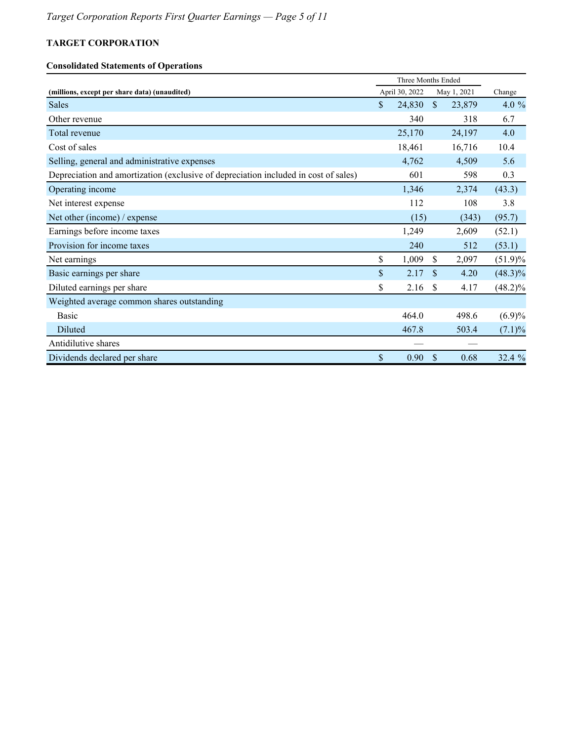### **Consolidated Statements of Operations**

|                                                                                     |    | Three Months Ended |               |             |            |
|-------------------------------------------------------------------------------------|----|--------------------|---------------|-------------|------------|
| (millions, except per share data) (unaudited)                                       |    | April 30, 2022     |               | May 1, 2021 | Change     |
| Sales                                                                               | S. | 24,830             | $\mathbb{S}$  | 23,879      | 4.0 %      |
| Other revenue                                                                       |    | 340                |               | 318         | 6.7        |
| Total revenue                                                                       |    | 25,170             |               | 24,197      | 4.0        |
| Cost of sales                                                                       |    | 18,461             |               | 16,716      | 10.4       |
| Selling, general and administrative expenses                                        |    | 4,762              |               | 4,509       | 5.6        |
| Depreciation and amortization (exclusive of depreciation included in cost of sales) |    | 601                |               | 598         | 0.3        |
| Operating income                                                                    |    | 1,346              |               | 2,374       | (43.3)     |
| Net interest expense                                                                |    | 112                |               | 108         | 3.8        |
| Net other (income) / expense                                                        |    | (15)               |               | (343)       | (95.7)     |
| Earnings before income taxes                                                        |    | 1,249              |               | 2,609       | (52.1)     |
| Provision for income taxes                                                          |    | 240                |               | 512         | (53.1)     |
| Net earnings                                                                        | \$ | 1,009              | \$            | 2,097       | $(51.9)\%$ |
| Basic earnings per share                                                            | \$ | 2.17               | $\mathcal{S}$ | 4.20        | $(48.3)\%$ |
| Diluted earnings per share                                                          | \$ | 2.16               | \$            | 4.17        | $(48.2)\%$ |
| Weighted average common shares outstanding                                          |    |                    |               |             |            |
| <b>Basic</b>                                                                        |    | 464.0              |               | 498.6       | $(6.9)\%$  |
| Diluted                                                                             |    | 467.8              |               | 503.4       | $(7.1)\%$  |
| Antidilutive shares                                                                 |    |                    |               |             |            |
| Dividends declared per share                                                        | \$ | 0.90               | \$            | 0.68        | 32.4 %     |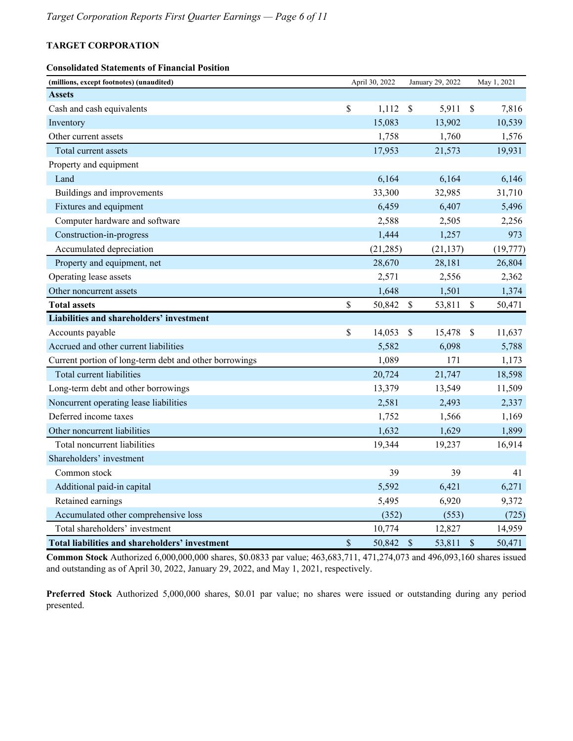#### **Consolidated Statements of Financial Position**

| (millions, except footnotes) (unaudited)               |      | April 30, 2022 |                           | January 29, 2022 |                           | May 1, 2021 |
|--------------------------------------------------------|------|----------------|---------------------------|------------------|---------------------------|-------------|
| <b>Assets</b>                                          |      |                |                           |                  |                           |             |
| Cash and cash equivalents                              | \$   | 1,112          | <sup>\$</sup>             | 5,911            | $\boldsymbol{\mathsf{S}}$ | 7,816       |
| Inventory                                              |      | 15,083         |                           | 13,902           |                           | 10,539      |
| Other current assets                                   |      | 1,758          |                           | 1,760            |                           | 1,576       |
| Total current assets                                   |      | 17,953         |                           | 21,573           |                           | 19,931      |
| Property and equipment                                 |      |                |                           |                  |                           |             |
| Land                                                   |      | 6,164          |                           | 6,164            |                           | 6,146       |
| Buildings and improvements                             |      | 33,300         |                           | 32,985           |                           | 31,710      |
| Fixtures and equipment                                 |      | 6,459          |                           | 6,407            |                           | 5,496       |
| Computer hardware and software                         |      | 2,588          |                           | 2,505            |                           | 2,256       |
| Construction-in-progress                               |      | 1,444          |                           | 1,257            |                           | 973         |
| Accumulated depreciation                               |      | (21, 285)      |                           | (21, 137)        |                           | (19, 777)   |
| Property and equipment, net                            |      | 28,670         |                           | 28,181           |                           | 26,804      |
| Operating lease assets                                 |      | 2,571          |                           | 2,556            |                           | 2,362       |
| Other noncurrent assets                                |      | 1,648          |                           | 1,501            |                           | 1,374       |
| <b>Total assets</b>                                    | \$   | 50,842         | $\boldsymbol{\mathsf{S}}$ | 53,811           | \$                        | 50,471      |
| Liabilities and shareholders' investment               |      |                |                           |                  |                           |             |
| Accounts payable                                       | \$   | 14,053         | \$                        | 15,478           | $\boldsymbol{\mathsf{S}}$ | 11,637      |
| Accrued and other current liabilities                  |      | 5,582          |                           | 6,098            |                           | 5,788       |
| Current portion of long-term debt and other borrowings |      | 1,089          |                           | 171              |                           | 1,173       |
| Total current liabilities                              |      | 20,724         |                           | 21,747           |                           | 18,598      |
| Long-term debt and other borrowings                    |      | 13,379         |                           | 13,549           |                           | 11,509      |
| Noncurrent operating lease liabilities                 |      | 2,581          |                           | 2,493            |                           | 2,337       |
| Deferred income taxes                                  |      | 1,752          |                           | 1,566            |                           | 1,169       |
| Other noncurrent liabilities                           |      | 1,632          |                           | 1,629            |                           | 1,899       |
| Total noncurrent liabilities                           |      | 19,344         |                           | 19,237           |                           | 16,914      |
| Shareholders' investment                               |      |                |                           |                  |                           |             |
| Common stock                                           |      | 39             |                           | 39               |                           | 41          |
| Additional paid-in capital                             |      | 5,592          |                           | 6,421            |                           | 6,271       |
| Retained earnings                                      |      | 5,495          |                           | 6,920            |                           | 9,372       |
| Accumulated other comprehensive loss                   |      | (352)          |                           | (553)            |                           | (725)       |
| Total shareholders' investment                         |      | 10,774         |                           | 12,827           |                           | 14,959      |
| Total liabilities and shareholders' investment         | $\$$ | 50,842         | \$                        | 53,811           | \$                        | 50,471      |

**Common Stock** Authorized 6,000,000,000 shares, \$0.0833 par value; 463,683,711, 471,274,073 and 496,093,160 shares issued and outstanding as of April 30, 2022, January 29, 2022, and May 1, 2021, respectively.

**Preferred Stock** Authorized 5,000,000 shares, \$0.01 par value; no shares were issued or outstanding during any period presented.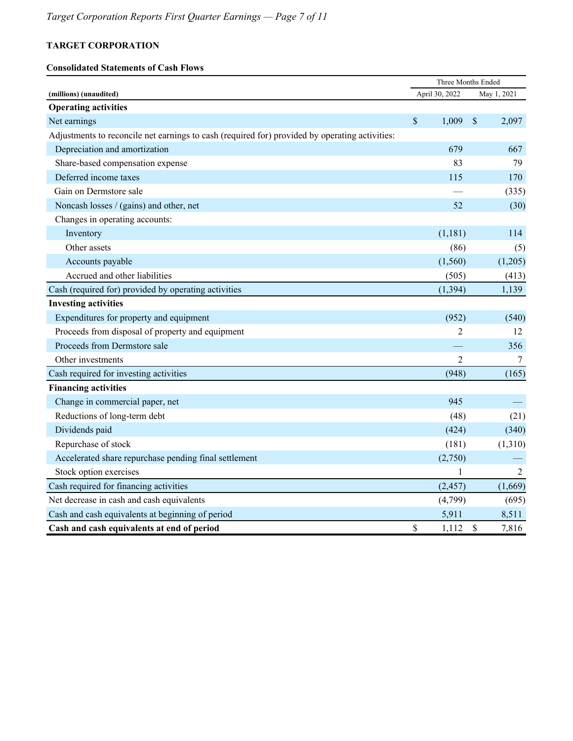#### **Consolidated Statements of Cash Flows**

|                                                                                                |             |                | Three Months Ended |         |  |
|------------------------------------------------------------------------------------------------|-------------|----------------|--------------------|---------|--|
| (millions) (unaudited)                                                                         |             | April 30, 2022 | May 1, 2021        |         |  |
| <b>Operating activities</b>                                                                    |             |                |                    |         |  |
| Net earnings                                                                                   | $\sqrt{\ }$ | 1,009          | $\mathcal{S}$      | 2,097   |  |
| Adjustments to reconcile net earnings to cash (required for) provided by operating activities: |             |                |                    |         |  |
| Depreciation and amortization                                                                  |             | 679            |                    | 667     |  |
| Share-based compensation expense                                                               |             | 83             |                    | 79      |  |
| Deferred income taxes                                                                          |             | 115            |                    | 170     |  |
| Gain on Dermstore sale                                                                         |             |                |                    | (335)   |  |
| Noncash losses / (gains) and other, net                                                        |             | 52             |                    | (30)    |  |
| Changes in operating accounts:                                                                 |             |                |                    |         |  |
| Inventory                                                                                      |             | (1,181)        |                    | 114     |  |
| Other assets                                                                                   |             | (86)           |                    | (5)     |  |
| Accounts payable                                                                               |             | (1, 560)       |                    | (1,205) |  |
| Accrued and other liabilities                                                                  |             | (505)          |                    | (413)   |  |
| Cash (required for) provided by operating activities                                           |             | (1, 394)       |                    | 1,139   |  |
| <b>Investing activities</b>                                                                    |             |                |                    |         |  |
| Expenditures for property and equipment                                                        |             | (952)          |                    | (540)   |  |
| Proceeds from disposal of property and equipment                                               |             | $\overline{2}$ |                    | 12      |  |
| Proceeds from Dermstore sale                                                                   |             |                |                    | 356     |  |
| Other investments                                                                              |             | $\overline{2}$ |                    | 7       |  |
| Cash required for investing activities                                                         |             | (948)          |                    | (165)   |  |
| <b>Financing activities</b>                                                                    |             |                |                    |         |  |
| Change in commercial paper, net                                                                |             | 945            |                    |         |  |
| Reductions of long-term debt                                                                   |             | (48)           |                    | (21)    |  |
| Dividends paid                                                                                 |             | (424)          |                    | (340)   |  |
| Repurchase of stock                                                                            |             | (181)          |                    | (1,310) |  |
| Accelerated share repurchase pending final settlement                                          |             | (2,750)        |                    |         |  |
| Stock option exercises                                                                         |             | 1              |                    | 2       |  |
| Cash required for financing activities                                                         |             | (2, 457)       |                    | (1,669) |  |
| Net decrease in cash and cash equivalents                                                      |             | (4,799)        |                    | (695)   |  |
| Cash and cash equivalents at beginning of period                                               |             | 5,911          |                    | 8,511   |  |
| Cash and cash equivalents at end of period                                                     | \$          | 1,112          | $\mathcal{S}$      | 7,816   |  |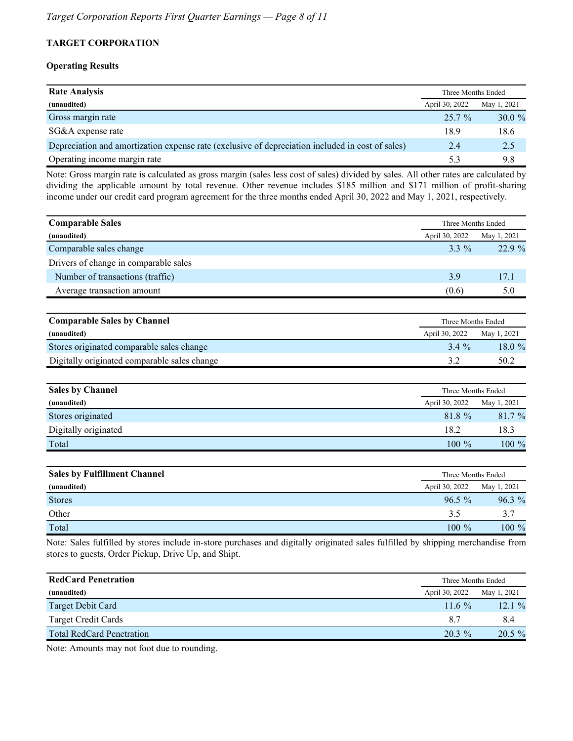#### **Operating Results**

| <b>Rate Analysis</b>                                                                             | Three Months Ended |             |  |  |
|--------------------------------------------------------------------------------------------------|--------------------|-------------|--|--|
| (unaudited)                                                                                      | April 30, 2022     | May 1, 2021 |  |  |
| Gross margin rate                                                                                | $25.7\%$           | $30.0 \%$   |  |  |
| SG&A expense rate                                                                                | 18.9               | 18.6        |  |  |
| Depreciation and amortization expense rate (exclusive of depreciation included in cost of sales) | 2.4                | 2.5         |  |  |
| Operating income margin rate                                                                     | 53                 | 9.8         |  |  |

Note: Gross margin rate is calculated as gross margin (sales less cost of sales) divided by sales. All other rates are calculated by dividing the applicable amount by total revenue. Other revenue includes \$185 million and \$171 million of profit-sharing income under our credit card program agreement for the three months ended April 30, 2022 and May 1, 2021, respectively.

| <b>Comparable Sales</b>               |                | Three Months Ended |
|---------------------------------------|----------------|--------------------|
| (unaudited)                           | April 30, 2022 | May 1, 2021        |
| Comparable sales change               | $3.3\%$        | 22.9%              |
| Drivers of change in comparable sales |                |                    |
| Number of transactions (traffic)      | 3.9            | 17.1               |
| Average transaction amount            | (0.6)          | 5.0                |
|                                       |                |                    |

| <b>Comparable Sales by Channel</b>           |                | Three Months Ended |  |  |  |  |
|----------------------------------------------|----------------|--------------------|--|--|--|--|
| (unaudited)                                  | April 30, 2022 | May 1, 2021        |  |  |  |  |
| Stores originated comparable sales change    | 3.4 %          | 18.0%              |  |  |  |  |
| Digitally originated comparable sales change |                | 50.2               |  |  |  |  |

| <b>Sales by Channel</b> |                | Three Months Ended |
|-------------------------|----------------|--------------------|
| (unaudited)             | April 30, 2022 | May 1, 2021        |
| Stores originated       | 81.8 %         | 81.7%              |
| Digitally originated    | 18.2           | 18.3               |
| Total                   | $100 \%$       | $100 \%$           |

| <b>Sales by Fulfillment Channel</b> |                | Three Months Ended |
|-------------------------------------|----------------|--------------------|
| (unaudited)                         | April 30, 2022 | May 1, 2021        |
| <b>Stores</b>                       | $96.5\%$       | $96.3\%$           |
| Other                               | 3.5            | 3.7                |
| Total                               | $100 \%$       | $100 \%$           |

Note: Sales fulfilled by stores include in-store purchases and digitally originated sales fulfilled by shipping merchandise from stores to guests, Order Pickup, Drive Up, and Shipt.

| <b>RedCard Penetration</b>       | Three Months Ended |             |  |  |
|----------------------------------|--------------------|-------------|--|--|
| (unaudited)                      | April 30, 2022     | May 1, 2021 |  |  |
| Target Debit Card                | $116\%$            | 12.1%       |  |  |
| <b>Target Credit Cards</b>       | 87                 | 8.4         |  |  |
| <b>Total RedCard Penetration</b> | $20.3 \%$          | $20.5 \%$   |  |  |

Note: Amounts may not foot due to rounding.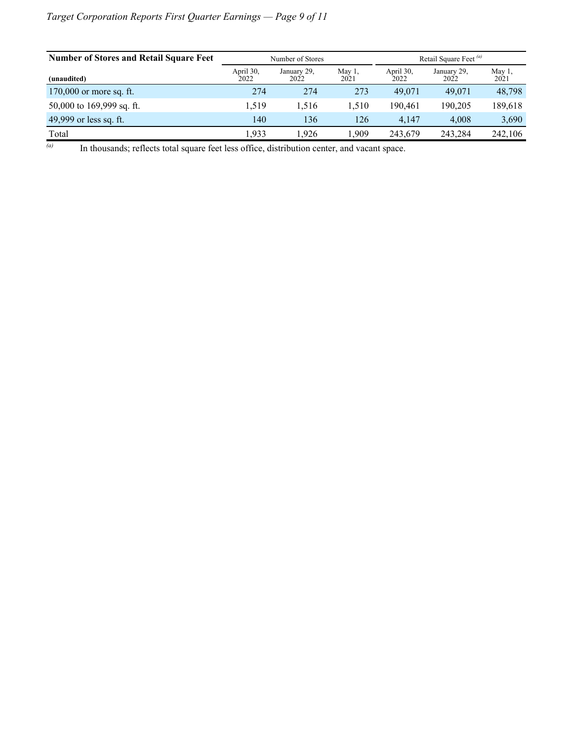## *Target Corporation Reports First Quarter Earnings — Page 9 of 11*

| <b>Number of Stores and Retail Square Feet</b> | Retail Square Feet <sup>(a)</sup><br>Number of Stores |                                                               |       |                     |                   |         |
|------------------------------------------------|-------------------------------------------------------|---------------------------------------------------------------|-------|---------------------|-------------------|---------|
| (unaudited)                                    | April 30,<br>2022                                     | May $1$ ,<br>April 30,<br>January 29.<br>2022<br>2022<br>2021 |       | January 29.<br>2022 | May $1$ .<br>2021 |         |
| 170,000 or more sq. ft.                        | 274                                                   | 274                                                           | 273   | 49.071              | 49,071            | 48,798  |
| 50,000 to 169,999 sq. ft.                      | 1.519                                                 | 1,516                                                         | 1,510 | 190.461             | 190.205           | 189,618 |
| 49,999 or less sq. ft.                         | 140                                                   | 136                                                           | 126   | 4.147               | 4.008             | 3,690   |
| Total                                          | .933                                                  | 1.926                                                         | .909  | 243,679             | 243,284           | 242,106 |

*(a)* In thousands; reflects total square feet less office, distribution center, and vacant space.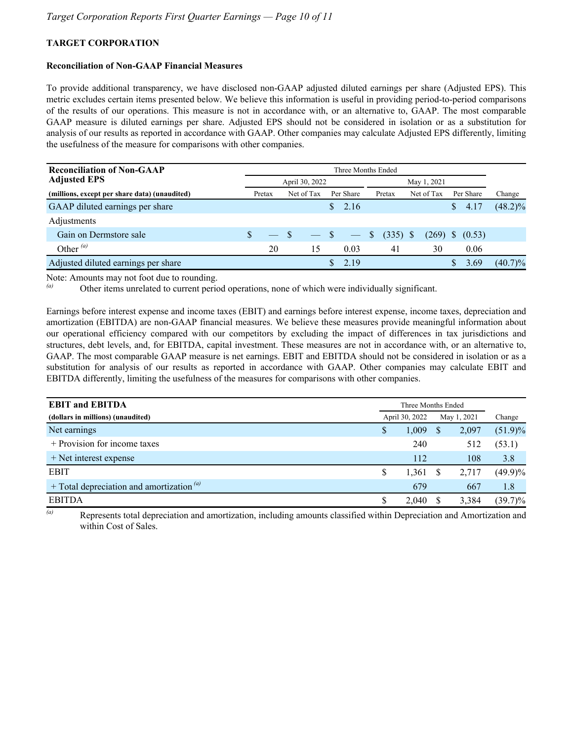#### **Reconciliation of Non-GAAP Financial Measures**

To provide additional transparency, we have disclosed non-GAAP adjusted diluted earnings per share (Adjusted EPS). This metric excludes certain items presented below. We believe this information is useful in providing period-to-period comparisons of the results of our operations. This measure is not in accordance with, or an alternative to, GAAP. The most comparable GAAP measure is diluted earnings per share. Adjusted EPS should not be considered in isolation or as a substitution for analysis of our results as reported in accordance with GAAP. Other companies may calculate Adjusted EPS differently, limiting the usefulness of the measure for comparisons with other companies.

| <b>Reconciliation of Non-GAAP</b>             | Three Months Ended            |        |  |            |              |      |                      |            |  |       |    |        |            |  |  |  |  |  |  |  |  |  |  |  |  |  |  |  |  |  |  |  |           |        |
|-----------------------------------------------|-------------------------------|--------|--|------------|--------------|------|----------------------|------------|--|-------|----|--------|------------|--|--|--|--|--|--|--|--|--|--|--|--|--|--|--|--|--|--|--|-----------|--------|
| <b>Adjusted EPS</b>                           | April 30, 2022<br>May 1, 2021 |        |  |            |              |      |                      |            |  |       |    |        |            |  |  |  |  |  |  |  |  |  |  |  |  |  |  |  |  |  |  |  |           |        |
| (millions, except per share data) (unaudited) |                               | Pretax |  | Net of Tax | Per Share    |      | Net of Tax<br>Pretax |            |  |       |    |        |            |  |  |  |  |  |  |  |  |  |  |  |  |  |  |  |  |  |  |  | Per Share | Change |
| GAAP diluted earnings per share               |                               |        |  |            | $\mathbf{S}$ | 2.16 |                      |            |  |       | S. | 4.17   | $(48.2)\%$ |  |  |  |  |  |  |  |  |  |  |  |  |  |  |  |  |  |  |  |           |        |
| Adjustments                                   |                               |        |  |            |              |      |                      |            |  |       |    |        |            |  |  |  |  |  |  |  |  |  |  |  |  |  |  |  |  |  |  |  |           |        |
| Gain on Dermstore sale                        | \$                            |        |  | $-$ S      |              |      | <sup>S</sup>         | $(335)$ \$ |  | (269) | -S | (0.53) |            |  |  |  |  |  |  |  |  |  |  |  |  |  |  |  |  |  |  |  |           |        |
| Other $^{(a)}$                                |                               | 20     |  | 15         |              | 0.03 |                      | 41         |  | 30    |    | 0.06   |            |  |  |  |  |  |  |  |  |  |  |  |  |  |  |  |  |  |  |  |           |        |
| Adjusted diluted earnings per share           |                               |        |  |            |              | 2.19 |                      |            |  |       | S  | 3.69   | $(40.7)\%$ |  |  |  |  |  |  |  |  |  |  |  |  |  |  |  |  |  |  |  |           |        |

Note: Amounts may not foot due to rounding.<br> $(a)$  Other items unrelated to survent period.

Other items unrelated to current period operations, none of which were individually significant.

Earnings before interest expense and income taxes (EBIT) and earnings before interest expense, income taxes, depreciation and amortization (EBITDA) are non-GAAP financial measures. We believe these measures provide meaningful information about our operational efficiency compared with our competitors by excluding the impact of differences in tax jurisdictions and structures, debt levels, and, for EBITDA, capital investment. These measures are not in accordance with, or an alternative to, GAAP. The most comparable GAAP measure is net earnings. EBIT and EBITDA should not be considered in isolation or as a substitution for analysis of our results as reported in accordance with GAAP. Other companies may calculate EBIT and EBITDA differently, limiting the usefulness of the measures for comparisons with other companies.

| <b>EBIT and EBITDA</b>                         | Three Months Ended |       |  |             |            |
|------------------------------------------------|--------------------|-------|--|-------------|------------|
| (dollars in millions) (unaudited)              | April 30, 2022     |       |  | May 1, 2021 | Change     |
| Net earnings                                   | \$                 | 1,009 |  | 2,097       | $(51.9)\%$ |
| + Provision for income taxes                   |                    | 240   |  | 512         | (53.1)     |
| $+$ Net interest expense                       |                    | 112   |  | 108         | 3.8        |
| <b>EBIT</b>                                    | \$                 | 1,361 |  | 2,717       | $(49.9)\%$ |
| + Total depreciation and amortization $^{(a)}$ |                    | 679   |  | 667         | 1.8        |
| <b>EBITDA</b>                                  |                    | 2.040 |  | 3,384       | $(39.7)\%$ |

*(a)* Represents total depreciation and amortization, including amounts classified within Depreciation and Amortization and within Cost of Sales.